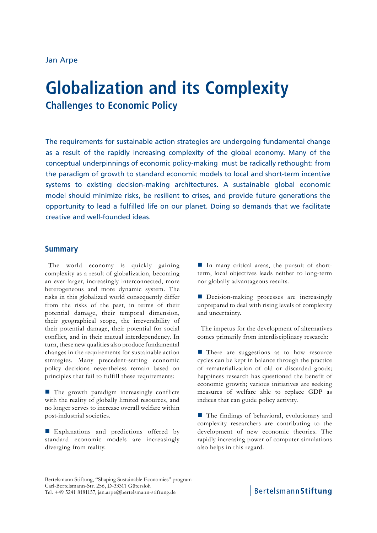## Jan Arpe

# **Globalization and its Complexity**

**Challenges to Economic Policy**

The requirements for sustainable action strategies are undergoing fundamental change as a result of the rapidly increasing complexity of the global economy. Many of the conceptual underpinnings of economic policy-making must be radically rethought: from the paradigm of growth to standard economic models to local and short-term incentive systems to existing decision-making architectures. A sustainable global economic model should minimize risks, be resilient to crises, and provide future generations the opportunity to lead a fulfilled life on our planet. Doing so demands that we facilitate creative and well-founded ideas.

## **Summary**

The world economy is quickly gaining complexity as a result of globalization, becoming an ever-larger, increasingly interconnected, more heterogeneous and more dynamic system. The risks in this globalized world consequently differ from the risks of the past, in terms of their potential damage, their temporal dimension, their geographical scope, the irreversibility of their potential damage, their potential for social conflict, and in their mutual interdependency. In turn, these new qualities also produce fundamental changes in the requirements for sustainable action strategies. Many precedent-setting economic policy decisions nevertheless remain based on principles that fail to fulfill these requirements:

■ The growth paradigm increasingly conflicts with the reality of globally limited resources, and no longer serves to increase overall welfare within post-industrial societies.

Explanations and predictions offered by standard economic models are increasingly diverging from reality.

In many critical areas, the pursuit of shortterm, local objectives leads neither to long-term nor globally advantageous results.

Decision-making processes are increasingly unprepared to deal with rising levels of complexity and uncertainty.

The impetus for the development of alternatives comes primarily from interdisciplinary research:

**There** are suggestions as to how resource cycles can be kept in balance through the practice of rematerialization of old or discarded goods; happiness research has questioned the benefit of economic growth; various initiatives are seeking measures of welfare able to replace GDP as indices that can guide policy activity.

■ The findings of behavioral, evolutionary and complexity researchers are contributing to the development of new economic theories. The rapidly increasing power of computer simulations also helps in this regard.

Bertelsmann Stiftung

Bertelsmann Stiftung, "Shaping Sustainable Economies" program Carl-Bertelsmann-Str. 256, D-33311 Gütersloh Tel. +49 5241 8181157, jan.arpe@bertelsmann-stiftung.de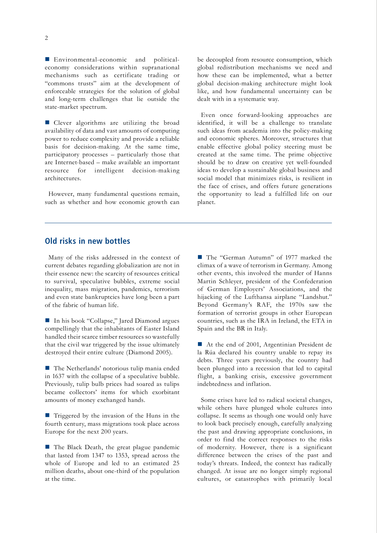Environmental-economic and politicaleconomy considerations within supranational mechanisms such as certificate trading or "commons trusts" aim at the development of enforceable strategies for the solution of global and long-term challenges that lie outside the state-market spectrum.

Clever algorithms are utilizing the broad availability of data and vast amounts of computing power to reduce complexity and provide a reliable basis for decision-making. At the same time, participatory processes – particularly those that are Internet-based – make available an important resource for intelligent decision-making architectures.

However, many fundamental questions remain, such as whether and how economic growth can

be decoupled from resource consumption, which global redistribution mechanisms we need and how these can be implemented, what a better global decision-making architecture might look like, and how fundamental uncertainty can be dealt with in a systematic way.

Even once forward-looking approaches are identified, it will be a challenge to translate such ideas from academia into the policy-making and economic spheres. Moreover, structures that enable effective global policy steering must be created at the same time. The prime objective should be to draw on creative yet well-founded ideas to develop a sustainable global business and social model that minimizes risks, is resilient in the face of crises, and offers future generations the opportunity to lead a fulfilled life on our planet.

# **Old risks in new bottles**

Many of the risks addressed in the context of current debates regarding globalization are not in their essence new: the scarcity of resources critical to survival, speculative bubbles, extreme social inequality, mass migration, pandemics, terrorism and even state bankruptcies have long been a part of the fabric of human life.

■ In his book "Collapse," Jared Diamond argues compellingly that the inhabitants of Easter Island handled their scarce timber resources so wastefully that the civil war triggered by the issue ultimately destroyed their entire culture (Diamond 2005).

 The Netherlands' notorious tulip mania ended in 1637 with the collapse of a speculative bubble. Previously, tulip bulb prices had soared as tulips became collectors' items for which exorbitant amounts of money exchanged hands.

■ Triggered by the invasion of the Huns in the fourth century, mass migrations took place across Europe for the next 200 years.

■ The Black Death, the great plague pandemic that lasted from 1347 to 1353, spread across the whole of Europe and led to an estimated 25 million deaths, about one-third of the population at the time.

■ The "German Autumn" of 1977 marked the climax of a wave of terrorism in Germany. Among other events, this involved the murder of Hanns Martin Schleyer, president of the Confederation of German Employers' Associations, and the hijacking of the Lufthansa airplane "Landshut." Beyond Germany's RAF, the 1970s saw the formation of terrorist groups in other European countries, such as the IRA in Ireland, the ETA in Spain and the BR in Italy.

At the end of 2001, Argentinian President de la Rúa declared his country unable to repay its debts. Three years previously, the country had been plunged into a recession that led to capital flight, a banking crisis, excessive government indebtedness and inflation.

Some crises have led to radical societal changes, while others have plunged whole cultures into collapse. It seems as though one would only have to look back precisely enough, carefully analyzing the past and drawing appropriate conclusions, in order to find the correct responses to the risks of modernity. However, there is a significant difference between the crises of the past and today's threats. Indeed, the context has radically changed. At issue are no longer simply regional cultures, or catastrophes with primarily local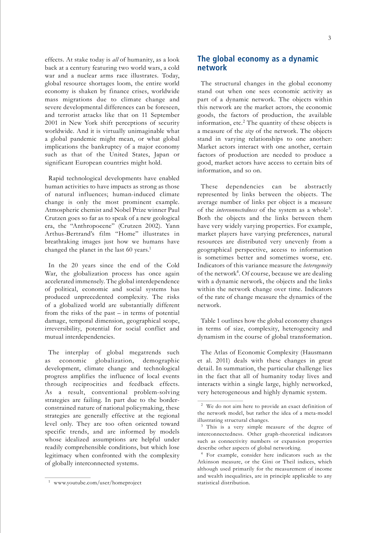effects. At stake today is *all* of humanity, as a look back at a century featuring two world wars, a cold war and a nuclear arms race illustrates. Today, global resource shortages loom, the entire world economy is shaken by finance crises, worldwide mass migrations due to climate change and severe developmental differences can be foreseen, and terrorist attacks like that on 11 September 2001 in New York shift perceptions of security worldwide. And it is virtually unimaginable what a global pandemic might mean, or what global implications the bankruptcy of a major economy such as that of the United States, Japan or significant European countries might hold.

Rapid technological developments have enabled human activities to have impacts as strong as those of natural influences; human-induced climate change is only the most prominent example. Atmospheric chemist and Nobel Prize winner Paul Crutzen goes so far as to speak of a new geological era, the "Anthropocene" (Crutzen 2002). Yann Arthus-Bertrand's film "Home" illustrates in breathtaking images just how we humans have changed the planet in the last 60 years.<sup>1</sup>

In the 20 years since the end of the Cold War, the globalization process has once again accelerated immensely. The global interdependence of political, economic and social systems has produced unprecedented complexity. The risks of a globalized world are substantially different from the risks of the past – in terms of potential damage, temporal dimension, geographical scope, irreversibility, potential for social conflict and mutual interdependencies.

The interplay of global megatrends such as economic globalization, demographic development, climate change and technological progress amplifies the influence of local events through reciprocities and feedback effects. As a result, conventional problem-solving strategies are failing. In part due to the borderconstrained nature of national policymaking, these strategies are generally effective at the regional level only. They are too often oriented toward specific trends, and are informed by models whose idealized assumptions are helpful under readily comprehensible conditions, but which lose legitimacy when confronted with the complexity of globally interconnected systems.

The structural changes in the global economy stand out when one sees economic activity as part of a dynamic network. The objects within this network are the market actors, the economic goods, the factors of production, the available information, etc.<sup>2</sup> The quantity of these objects is a measure of the *size* of the network. The objects stand in varying relationships to one another: Market actors interact with one another, certain factors of production are needed to produce a good, market actors have access to certain bits of information, and so on.

These dependencies can be abstractly represented by links between the objects. The average number of links per object is a measure of the *interconnectedness* of the system as a whole3. Both the objects and the links between them have very widely varying properties. For example, market players have varying preferences, natural resources are distributed very unevenly from a geographical perspective, access to information is sometimes better and sometimes worse, etc. Indicators of this variance measure the *heterogeneity* of the network<sup>4</sup>. Of course, because we are dealing with a dynamic network, the objects and the links within the network change over time. Indicators of the rate of change measure the dynamics of the network.

Table 1 outlines how the global economy changes in terms of size, complexity, heterogeneity and dynamism in the course of global transformation.

The Atlas of Economic Complexity (Hausmann et al. 2011) deals with these changes in great detail. In summation, the particular challenge lies in the fact that all of humanity today lives and interacts within a single large, highly networked, very heterogeneous and highly dynamic system.

**The global economy as a dynamic network**

<sup>2</sup> We do not aim here to provide an exact definition of the network model, but rather the idea of a meta-model illustrating structural changes.

<sup>&</sup>lt;sup>3</sup> This is a very simple measure of the degree of interconnectedness. Other graph-theoretical indicators such as connectivity numbers or expansion properties describe other aspects of global networking.

<sup>4</sup> For example, consider here indicators such as the Atkinson measure, or the Gini or Theil indices, which although used primarily for the measurement of income and wealth inequalities, are in principle applicable to any statistical distribution.

<sup>1</sup> www.youtube.com/user/homeproject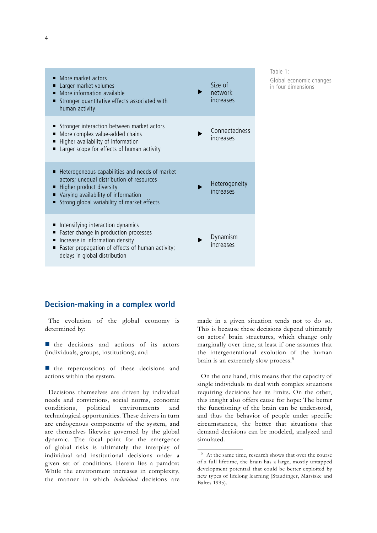| More market actors<br>Larger market volumes<br>More information available<br>Stronger quantitative effects associated with<br>ш<br>human activity                                                             | Size of<br>network<br>increases |
|---------------------------------------------------------------------------------------------------------------------------------------------------------------------------------------------------------------|---------------------------------|
| Stronger interaction between market actors<br>More complex value-added chains<br>■<br>Higher availability of information<br>Larger scope for effects of human activity                                        | Connectedness<br>increases      |
| Heterogeneous capabilities and needs of market<br>actors; unequal distribution of resources<br>Higher product diversity<br>Varying availability of information<br>Strong global variability of market effects | Heterogeneity<br>increases      |
| Intensifying interaction dynamics<br>Faster change in production processes<br>п<br>Increase in information density<br>п<br>Faster propagation of effects of human activity;<br>delays in global distribution  | Dynamism<br>increases           |

Table 1: Global economic changes in four dimensions

# **Decision-making in a complex world**

The evolution of the global economy is determined by:

 $\blacksquare$  the decisions and actions of its actors (individuals, groups, institutions); and

 $\blacksquare$  the repercussions of these decisions and actions within the system.

Decisions themselves are driven by individual needs and convictions, social norms, economic conditions, political environments and technological opportunities. These drivers in turn are endogenous components of the system, and are themselves likewise governed by the global dynamic. The focal point for the emergence of global risks is ultimately the interplay of individual and institutional decisions under a given set of conditions. Herein lies a paradox: While the environment increases in complexity, the manner in which *individual* decisions are made in a given situation tends not to do so. This is because these decisions depend ultimately on actors' brain structures, which change only marginally over time, at least if one assumes that the intergenerational evolution of the human brain is an extremely slow process.5

On the one hand, this means that the capacity of single individuals to deal with complex situations requiring decisions has its limits. On the other, this insight also offers cause for hope: The better the functioning of the brain can be understood, and thus the behavior of people under specific circumstances, the better that situations that demand decisions can be modeled, analyzed and simulated.

<sup>5</sup> At the same time, research shows that over the course of a full lifetime, the brain has a large, mostly untapped development potential that could be better exploited by new types of lifelong learning (Staudinger, Marsiske and Baltes 1995).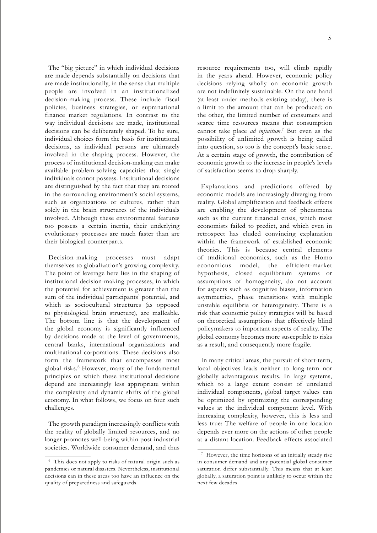The "big picture" in which individual decisions are made depends substantially on decisions that are made institutionally, in the sense that multiple people are involved in an institutionalized decision-making process. These include fiscal policies, business strategies, or supranational finance market regulations. In contrast to the way individual decisions are made, institutional decisions can be deliberately shaped. To be sure, individual choices form the basis for institutional decisions, as individual persons are ultimately involved in the shaping process. However, the process of institutional decision-making can make available problem-solving capacities that single individuals cannot possess. Institutional decisions are distinguished by the fact that they are rooted in the surrounding environment's social systems, such as organizations or cultures, rather than solely in the brain structures of the individuals involved. Although these environmental features too possess a certain inertia, their underlying evolutionary processes are much faster than are their biological counterparts.

Decision-making processes must adapt themselves to globalization's growing complexity. The point of leverage here lies in the shaping of institutional decision-making processes, in which the potential for achievement is greater than the sum of the individual participants' potential, and which as sociocultural structures (as opposed to physiological brain structure), are malleable. The bottom line is that the development of the global economy is significantly influenced by decisions made at the level of governments, central banks, international organizations and multinational corporations. These decisions also form the framework that encompasses most global risks.6 However, many of the fundamental principles on which these institutional decisions depend are increasingly less appropriate within the complexity and dynamic shifts of the global economy. In what follows, we focus on four such challenges.

The growth paradigm increasingly conflicts with the reality of globally limited resources, and no longer promotes well-being within post-industrial societies. Worldwide consumer demand, and thus resource requirements too, will climb rapidly in the years ahead. However, economic policy decisions relying wholly on economic growth are not indefinitely sustainable. On the one hand (at least under methods existing today), there is a limit to the amount that can be produced; on the other, the limited number of consumers and scarce time resources means that consumption cannot take place *ad infinitum*. 7 But even as the possibility of unlimited growth is being called into question, so too is the concept's basic sense. At a certain stage of growth, the contribution of economic growth to the increase in people's levels of satisfaction seems to drop sharply.

Explanations and predictions offered by economic models are increasingly diverging from reality. Global amplification and feedback effects are enabling the development of phenomena such as the current financial crisis, which most economists failed to predict, and which even in retrospect has eluded convincing explanation within the framework of established economic theories. This is because central elements of traditional economics, such as the Homo economicus model, the efficient-market hypothesis, closed equilibrium systems or assumptions of homogeneity, do not account for aspects such as cognitive biases, information asymmetries, phase transitions with multiple unstable equilibria or heterogeneity. There is a risk that economic policy strategies will be based on theoretical assumptions that effectively blind policymakers to important aspects of reality. The global economy becomes more susceptible to risks as a result, and consequently more fragile.

In many critical areas, the pursuit of short-term, local objectives leads neither to long-term nor globally advantageous results. In large systems, which to a large extent consist of unrelated individual components, global target values can be optimized by optimizing the corresponding values at the individual component level. With increasing complexity, however, this is less and less true: The welfare of people in one location depends ever more on the actions of other people at a distant location. Feedback effects associated

<sup>6</sup> This does not apply to risks of natural origin such as pandemics or natural disasters. Nevertheless, institutional decisions can in these areas too have an influence on the quality of preparedness and safeguards.

<sup>7</sup> However, the time horizons of an initially steady rise in consumer demand and any potential global consumer saturation differ substantially. This means that at least globally, a saturation point is unlikely to occur within the next few decades.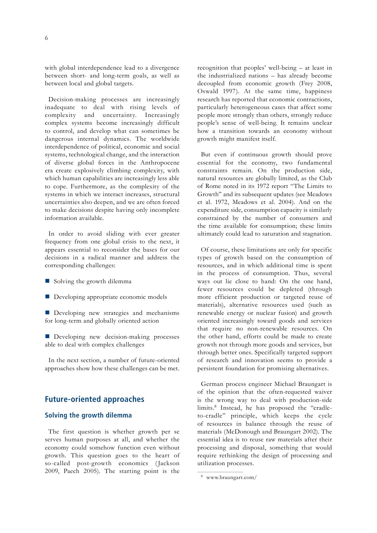with global interdependence lead to a divergence between short- and long-term goals, as well as between local and global targets.

Decision-making processes are increasingly inadequate to deal with rising levels of complexity and uncertainty. Increasingly complex systems become increasingly difficult to control, and develop what can sometimes be dangerous internal dynamics. The worldwide interdependence of political, economic and social systems, technological change, and the interaction of diverse global forces in the Anthropocene era create explosively climbing complexity, with which human capabilities are increasingly less able to cope. Furthermore, as the complexity of the systems in which we interact increases, structural uncertainties also deepen, and we are often forced to make decisions despite having only incomplete information available.

In order to avoid sliding with ever greater frequency from one global crisis to the next, it appears essential to reconsider the bases for our decisions in a radical manner and address the corresponding challenges:

- Solving the growth dilemma
- Developing appropriate economic models

Developing new strategies and mechanisms for long-term and globally oriented action

Developing new decision-making processes able to deal with complex challenges

In the next section, a number of future-oriented approaches show how these challenges can be met.

# **Future-oriented approaches**

#### **Solving the growth dilemma**

The first question is whether growth per se serves human purposes at all, and whether the economy could somehow function even without growth. This question goes to the heart of so-called post-growth economics (Jackson 2009, Paech 2005). The starting point is the

recognition that peoples' well-being – at least in the industrialized nations – has already become decoupled from economic growth (Frey 2008, Oswald 1997). At the same time, happiness research has reported that economic contractions, particularly heterogeneous cases that affect some people more strongly than others, strongly reduce people's sense of well-being. It remains unclear how a transition towards an economy without growth might manifest itself.

But even if continuous growth should prove essential for the economy, two fundamental constraints remain. On the production side, natural resources are globally limited, as the Club of Rome noted in its 1972 report "The Limits to Growth" and its subsequent updates (see Meadows et al. 1972, Meadows et al. 2004). And on the expenditure side, consumption capacity is similarly constrained by the number of consumers and the time available for consumption; these limits ultimately could lead to saturation and stagnation.

Of course, these limitations are only for specific types of growth based on the consumption of resources, and in which additional time is spent in the process of consumption. Thus, several ways out lie close to hand: On the one hand, fewer resources could be depleted (through more efficient production or targeted reuse of materials), alternative resources used (such as renewable energy or nuclear fusion) and growth oriented increasingly toward goods and services that require no non-renewable resources. On the other hand, efforts could be made to create growth not through more goods and services, but through better ones. Specifically targeted support of research and innovation seems to provide a persistent foundation for promising alternatives.

German process engineer Michael Braungart is of the opinion that the often-requested waiver is the wrong way to deal with production-side limits.<sup>8</sup> Instead, he has proposed the "cradleto-cradle" principle, which keeps the cycle of resources in balance through the reuse of materials (McDonough and Braungart 2002). The essential idea is to reuse raw materials after their processing and disposal, something that would require rethinking the design of processing and utilization processes.

<sup>8</sup> www.braungart.com/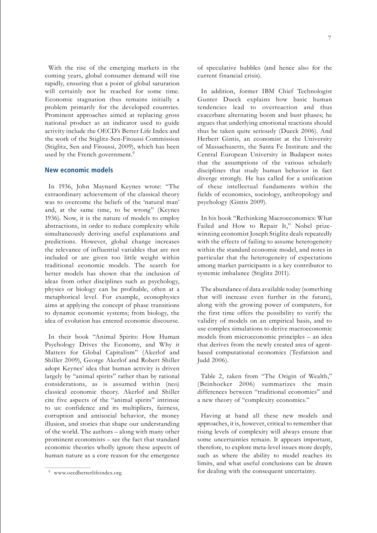With the rise of the emerging markets in the coming years, global consumer demand will rise rapidly, ensuring that a point of global saturation will certainly not be reached for some time. Economic stagnation thus remains initially a problem primarily for the developed countries. Prominent approaches aimed at replacing gross national product as an indicator used to guide activity include the OECD's Better Life Index and the work of the Stiglitz-Sen-Fitoussi Commission (Stiglitz, Sen and Fitoussi, 2009), which has been used by the French government.<sup>9</sup>

#### **New economic models**

In 1936, John Maynard Keynes wrote: "The extraordinary achievement of the classical theory was to overcome the beliefs of the 'natural man' and, at the same time, to be wrong" (Keynes 1936). Now, it is the nature of models to employ abstractions, in order to reduce complexity while simultaneously deriving useful explanations and predictions. However, global change increases the relevance of influential variables that are not included or are given too little weight within traditional economic models. The search for better models has shown that the inclusion of ideas from other disciplines such as psychology, physics or biology can be profitable, often at a metaphorical level. For example, econophysics aims at applying the concept of phase transitions to dynamic economic systems; from biology, the idea of evolution has entered economic discourse.

In their book "Animal Spirits: How Human Psychology Drives the Economy, and Why it Matters for Global Capitalism" (Akerlof and Shiller 2009), George Akerlof and Robert Shiller adopt Keynes' idea that human activity is driven largely by "animal spirits" rather than by rational considerations, as is assumed within (neo) classical economic theory. Akerlof and Shiller cite five aspects of the "animal spirits" intrinsic to us: confidence and its multipliers, fairness, corruption and antisocial behavior, the money illusion, and stories that shape our understanding of the world. The authors – along with many other prominent economists – see the fact that standard economic theories wholly ignore these aspects of human nature as a core reason for the emergence

of speculative bubbles (and hence also for the current financial crisis).

In addition, former IBM Chief Technologist Gunter Dueck explains how basic human tendencies lead to overreaction and thus exacerbate alternating boom and bust phases; he argues that underlying emotional reactions should thus be taken quite seriously (Dueck 2006). And Herbert Gintis, an economist at the University of Massachusetts, the Santa Fe Institute and the Central European University in Budapest notes that the assumptions of the various scholarly disciplines that study human behavior in fact diverge strongly. He has called for a unification of these intellectual fundaments within the fields of economics, sociology, anthropology and psychology (Gintis 2009).

In his book "Rethinking Macroeconomics: What Failed and How to Repair It," Nobel prizewinning economist Joseph Stiglitz deals repeatedly with the effects of failing to assume heterogeneity within the standard economic model, and notes in particular that the heterogeneity of expectations among market participants is a key contributor to systemic imbalance (Stiglitz 2011).

The abundance of data available today (something that will increase even further in the future), along with the growing power of computers, for the first time offers the possibility to verify the validity of models on an empirical basis, and to use complex simulations to derive macroeconomic models from microeconomic principles – an idea that derives from the newly created area of agentbased computational economics (Tesfatsion and Judd 2006).

Table 2, taken from "The Origin of Wealth," (Beinhocker 2006) summarizes the main differences between "traditional economics" and a new theory of "complexity economics."

Having at hand all these new models and approaches, it is, however, critical to remember that rising levels of complexity will always ensure that some uncertainties remain. It appears important, therefore, to explore meta-level issues more deeply, such as where the ability to model reaches its limits, and what useful conclusions can be drawn for dealing with the consequent uncertainty.

<sup>9</sup> www.oecdbetterlifeindex.org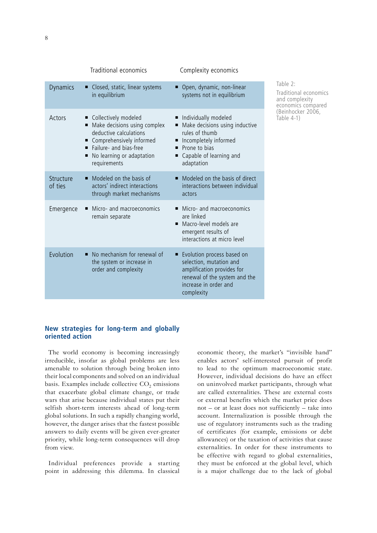|                      | Traditional economics                                                                                                                                                                                 | Complexity economics                                                                                                                                             |                                                                                                                |
|----------------------|-------------------------------------------------------------------------------------------------------------------------------------------------------------------------------------------------------|------------------------------------------------------------------------------------------------------------------------------------------------------------------|----------------------------------------------------------------------------------------------------------------|
| <b>Dynamics</b>      | Closed, static, linear systems<br>Ξ<br>in equilibrium                                                                                                                                                 | ■ Open, dynamic, non-linear<br>systems not in equilibrium                                                                                                        | Table 2:<br>Traditional economics<br>and complexity<br>economics compared<br>(Beinhocker 2006,<br>Table $4-1)$ |
| Actors               | Collectively modeled<br>٠<br>Make decisions using complex<br>٠<br>deductive calculations<br>Comprehensively informed<br>п<br>Failure- and bias-free<br>No learning or adaptation<br>п<br>requirements | Individually modeled<br>Make decisions using inductive<br>rules of thumb<br>Incompletely informed<br>٠<br>Prone to bias<br>Capable of learning and<br>adaptation |                                                                                                                |
| Structure<br>of ties | Modeled on the basis of<br>٠<br>actors' indirect interactions<br>through market mechanisms                                                                                                            | Modeled on the basis of direct<br>٠<br>interactions between individual<br>actors                                                                                 |                                                                                                                |
| Emergence            | Micro- and macroeconomics<br>■<br>remain separate                                                                                                                                                     | Micro- and macroeconomics<br>are linked<br>Macro-level models are<br>п<br>emergent results of<br>interactions at micro level                                     |                                                                                                                |
| Evolution            | No mechanism for renewal of<br>Ξ<br>the system or increase in<br>order and complexity                                                                                                                 | Evolution process based on<br>selection, mutation and<br>amplification provides for<br>renewal of the system and the<br>increase in order and<br>complexity      |                                                                                                                |
|                      |                                                                                                                                                                                                       |                                                                                                                                                                  |                                                                                                                |

## **New strategies for long-term and globally oriented action**

The world economy is becoming increasingly irreducible, insofar as global problems are less amenable to solution through being broken into their local components and solved on an individual basis. Examples include collective CO<sub>2</sub> emissions that exacerbate global climate change, or trade wars that arise because individual states put their selfish short-term interests ahead of long-term global solutions. In such a rapidly changing world, however, the danger arises that the fastest possible answers to daily events will be given ever-greater priority, while long-term consequences will drop from view.

Individual preferences provide a starting point in addressing this dilemma. In classical

economic theory, the market's "invisible hand" enables actors' self-interested pursuit of profit to lead to the optimum macroeconomic state. However, individual decisions do have an effect on uninvolved market participants, through what are called externalities. These are external costs or external benefits which the market price does not – or at least does not sufficiently – take into account. Internalization is possible through the use of regulatory instruments such as the trading of certificates (for example, emissions or debt allowances) or the taxation of activities that cause externalities. In order for these instruments to be effective with regard to global externalities, they must be enforced at the global level, which is a major challenge due to the lack of global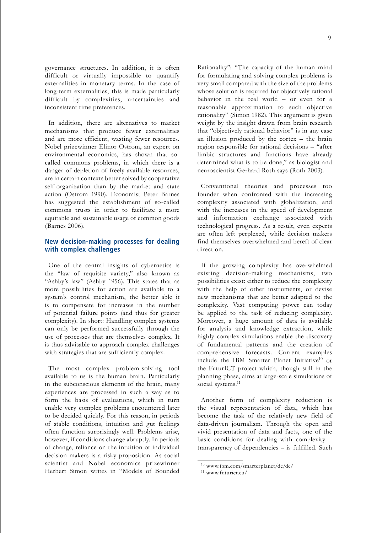governance structures. In addition, it is often difficult or virtually impossible to quantify externalities in monetary terms. In the case of long-term externalities, this is made particularly difficult by complexities, uncertainties and inconsistent time preferences.

In addition, there are alternatives to market mechanisms that produce fewer externalities and are more efficient, wasting fewer resources. Nobel prizewinner Elinor Ostrom, an expert on environmental economics, has shown that socalled commons problems, in which there is a danger of depletion of freely available resources, are in certain contexts better solved by cooperative self-organization than by the market and state action (Ostrom 1990). Economist Peter Barnes has suggested the establishment of so-called commons trusts in order to facilitate a more equitable and sustainable usage of common goods (Barnes 2006).

## **New decision-making processes for dealing with complex challenges**

One of the central insights of cybernetics is the "law of requisite variety," also known as "Ashby's law" (Ashby 1956). This states that as more possibilities for action are available to a system's control mechanism, the better able it is to compensate for increases in the number of potential failure points (and thus for greater complexity). In short: Handling complex systems can only be performed successfully through the use of processes that are themselves complex. It is thus advisable to approach complex challenges with strategies that are sufficiently complex.

The most complex problem-solving tool available to us is the human brain. Particularly in the subconscious elements of the brain, many experiences are processed in such a way as to form the basis of evaluations, which in turn enable very complex problems encountered later to be decided quickly. For this reason, in periods of stable conditions, intuition and gut feelings often function surprisingly well. Problems arise, however, if conditions change abruptly. In periods of change, reliance on the intuition of individual decision makers is a risky proposition. As social scientist and Nobel economics prizewinner Herbert Simon writes in "Models of Bounded

Rationality": "The capacity of the human mind for formulating and solving complex problems is very small compared with the size of the problems whose solution is required for objectively rational behavior in the real world – or even for a reasonable approximation to such objective rationality" (Simon 1982). This argument is given weight by the insight drawn from brain research that "objectively rational behavior" is in any case an illusion produced by the cortex – the brain region responsible for rational decisions – "after limbic structures and functions have already determined what is to be done," as biologist and neuroscientist Gerhard Roth says (Roth 2003).

Conventional theories and processes too founder when confronted with the increasing complexity associated with globalization, and with the increases in the speed of development and information exchange associated with technological progress. As a result, even experts are often left perplexed, while decision makers find themselves overwhelmed and bereft of clear direction.

If the growing complexity has overwhelmed existing decision-making mechanisms, two possibilities exist: either to reduce the complexity with the help of other instruments, or devise new mechanisms that are better adapted to the complexity. Vast computing power can today be applied to the task of reducing complexity. Moreover, a huge amount of data is available for analysis and knowledge extraction, while highly complex simulations enable the discovery of fundamental patterns and the creation of comprehensive forecasts. Current examples include the IBM Smarter Planet Initiative<sup>10</sup> or the FuturICT project which, though still in the planning phase, aims at large-scale simulations of social systems.<sup>11</sup>

Another form of complexity reduction is the visual representation of data, which has become the task of the relatively new field of data-driven journalism. Through the open and vivid presentation of data and facts, one of the basic conditions for dealing with complexity – transparency of dependencies – is fulfilled. Such

<sup>10</sup> www.ibm.com/smarterplanet/de/de/

<sup>11</sup> www.futurict.eu/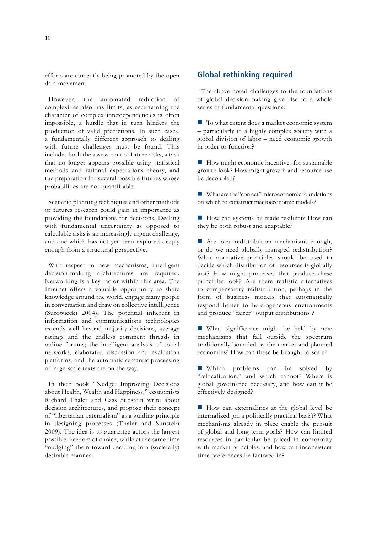efforts are currently being promoted by the open data movement.

However, the automated reduction of complexities also has limits, as ascertaining the character of complex interdependencies is often impossible, a hurdle that in turn hinders the production of valid predictions. In such cases, a fundamentally different approach to dealing with future challenges must be found. This includes both the assessment of future risks, a task that no longer appears possible using statistical methods and rational expectations theory, and the preparation for several possible futures whose probabilities are not quantifiable.

Scenario planning techniques and other methods of futures research could gain in importance as providing the foundations for decisions. Dealing with fundamental uncertainty as opposed to calculable risks is an increasingly urgent challenge, and one which has not yet been explored deeply enough from a structural perspective.

With respect to new mechanisms, intelligent decision-making architectures are required. Networking is a key factor within this area. The Internet offers a valuable opportunity to share knowledge around the world, engage many people in conversation and draw on collective intelligence (Surowiecki 2004). The potential inherent in information and communications technologies extends well beyond majority decisions, average ratings and the endless comment threads in online forums; the intelligent analysis of social networks, elaborated discussion and evaluation platforms, and the automatic semantic processing of large-scale texts are on the way.

In their book "Nudge: Improving Decisions about Health, Wealth and Happiness," economists Richard Thaler and Cass Sunstein write about decision architectures, and propose their concept of "libertarian paternalism" as a guiding principle in designing processes (Thaler and Sunstein 2009). The idea is to guarantee actors the largest possible freedom of choice, while at the same time "nudging" them toward deciding in a (societally) desirable manner.

# **Global rethinking required**

The above-noted challenges to the foundations of global decision-making give rise to a whole series of fundamental questions:

■ To what extent does a market economic system – particularly in a highly complex society with a global division of labor – need economic growth in order to function?

 $\blacksquare$  How might economic incentives for sustainable growth look? How might growth and resource use be decoupled?

What are the "correct" microeconomic foundations on which to construct macroeconomic models?

■ How can systems be made resilient? How can they be both robust and adaptable?

Are local redistribution mechanisms enough, or do we need globally managed redistribution? What normative principles should be used to decide which distribution of resources is globally just? How might processes that produce these principles look? Are there realistic alternatives to compensatory redistribution, perhaps in the form of business models that automatically respond better to heterogeneous environments and produce "fairer" output distributions ?

**What significance might be held by new** mechanisms that fall outside the spectrum traditionally bounded by the market and planned economies? How can these be brought to scale?

Which problems can be solved by "relocalization," and which cannot? Where is global governance necessary, and how can it be effectively designed?

How can externalities at the global level be internalized (on a politically practical basis)? What mechanisms already in place enable the pursuit of global and long-term goals? How can limited resources in particular be priced in conformity with market principles, and how can inconsistent time preferences be factored in?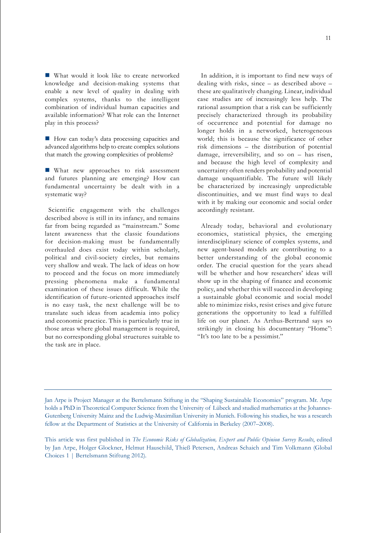What would it look like to create networked knowledge and decision-making systems that enable a new level of quality in dealing with complex systems, thanks to the intelligent combination of individual human capacities and available information? What role can the Internet play in this process?

How can today's data processing capacities and advanced algorithms help to create complex solutions that match the growing complexities of problems?

**What new approaches to risk assessment** and futures planning are emerging? How can fundamental uncertainty be dealt with in a systematic way?

Scientific engagement with the challenges described above is still in its infancy, and remains far from being regarded as "mainstream." Some latent awareness that the classic foundations for decision-making must be fundamentally overhauled does exist today within scholarly, political and civil-society circles, but remains very shallow and weak. The lack of ideas on how to proceed and the focus on more immediately pressing phenomena make a fundamental examination of these issues difficult. While the identification of future-oriented approaches itself is no easy task, the next challenge will be to translate such ideas from academia into policy and economic practice. This is particularly true in those areas where global management is required, but no corresponding global structures suitable to the task are in place.

In addition, it is important to find new ways of dealing with risks, since – as described above – these are qualitatively changing. Linear, individual case studies are of increasingly less help. The rational assumption that a risk can be sufficiently precisely characterized through its probability of occurrence and potential for damage no longer holds in a networked, heterogeneous world; this is because the significance of other risk dimensions – the distribution of potential damage, irreversibility, and so on – has risen, and because the high level of complexity and uncertainty often renders probability and potential damage unquantifiable. The future will likely be characterized by increasingly unpredictable discontinuities, and we must find ways to deal with it by making our economic and social order accordingly resistant.

Already today, behavioral and evolutionary economics, statistical physics, the emerging interdisciplinary science of complex systems, and new agent-based models are contributing to a better understanding of the global economic order. The crucial question for the years ahead will be whether and how researchers' ideas will show up in the shaping of finance and economic policy, and whether this will succeed in developing a sustainable global economic and social model able to minimize risks, resist crises and give future generations the opportunity to lead a fulfilled life on our planet. As Arthus-Bertrand says so strikingly in closing his documentary "Home": "It's too late to be a pessimist."

Jan Arpe is Project Manager at the Bertelsmann Stiftung in the "Shaping Sustainable Economies" program. Mr. Arpe holds a PhD in Theoretical Computer Science from the University of Lübeck and studied mathematics at the Johannes-Gutenberg University Mainz and the Ludwig-Maximilian University in Munich. Following his studies, he was a research fellow at the Department of Statistics at the University of California in Berkeley (2007–2008).

This article was first published in *The Economic Risks of Globalization, Expert and Public Opinion Survey Results*, edited by Jan Arpe, Holger Glockner, Helmut Hauschild, Thieß Petersen, Andreas Schaich and Tim Volkmann (Global Choices 1 | Bertelsmann Stiftung 2012).